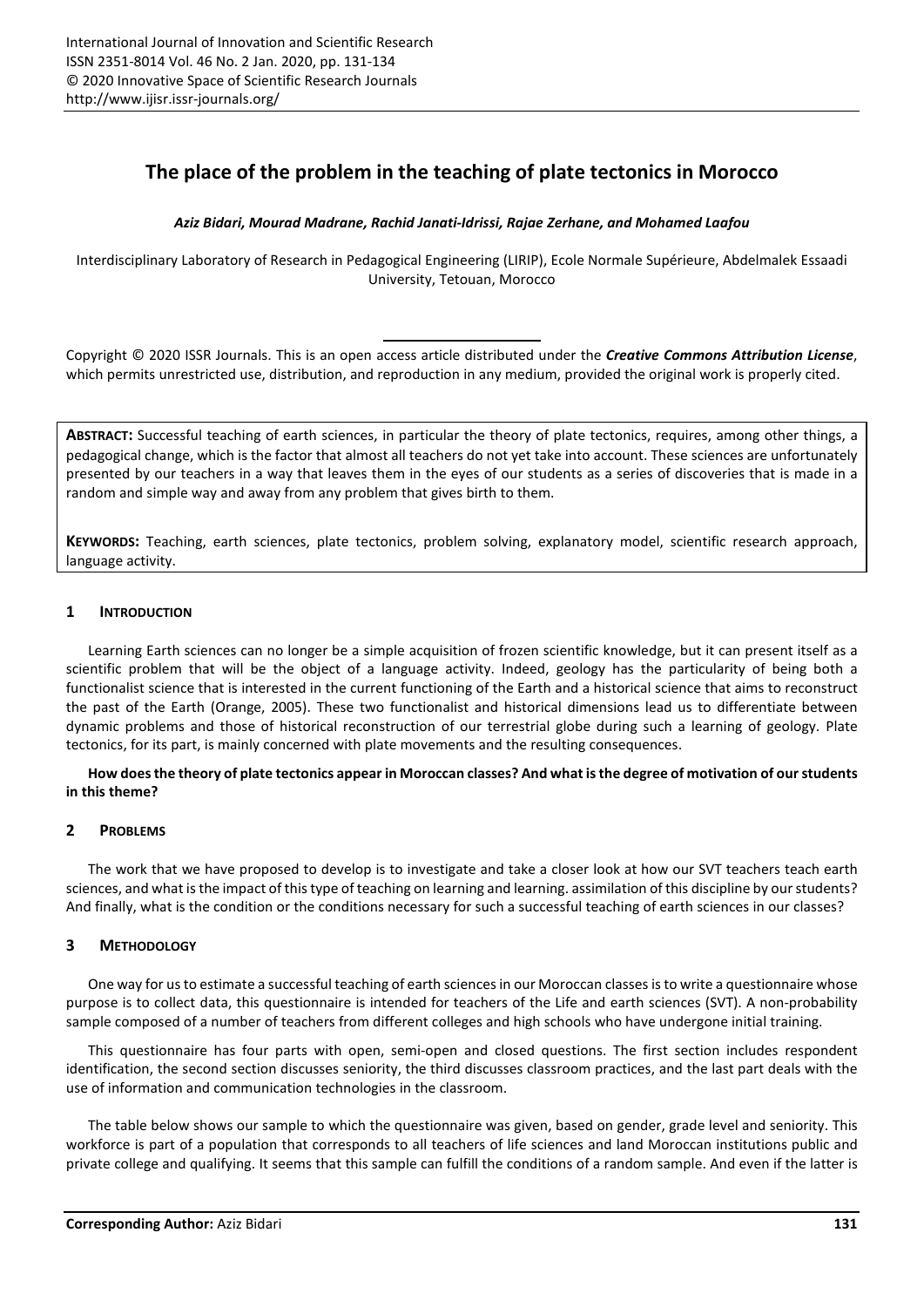# **The place of the problem in the teaching of plate tectonics in Morocco**

## *Aziz Bidari, Mourad Madrane, Rachid Janati-Idrissi, Rajae Zerhane, and Mohamed Laafou*

Interdisciplinary Laboratory of Research in Pedagogical Engineering (LIRIP), Ecole Normale Supérieure, Abdelmalek Essaadi University, Tetouan, Morocco

Copyright © 2020 ISSR Journals. This is an open access article distributed under the *Creative Commons Attribution License*, which permits unrestricted use, distribution, and reproduction in any medium, provided the original work is properly cited.

**ABSTRACT:** Successful teaching of earth sciences, in particular the theory of plate tectonics, requires, among other things, a pedagogical change, which is the factor that almost all teachers do not yet take into account. These sciences are unfortunately presented by our teachers in a way that leaves them in the eyes of our students as a series of discoveries that is made in a random and simple way and away from any problem that gives birth to them.

**KEYWORDS:** Teaching, earth sciences, plate tectonics, problem solving, explanatory model, scientific research approach, language activity.

## **1 INTRODUCTION**

Learning Earth sciences can no longer be a simple acquisition of frozen scientific knowledge, but it can present itself as a scientific problem that will be the object of a language activity. Indeed, geology has the particularity of being both a functionalist science that is interested in the current functioning of the Earth and a historical science that aims to reconstruct the past of the Earth (Orange, 2005). These two functionalist and historical dimensions lead us to differentiate between dynamic problems and those of historical reconstruction of our terrestrial globe during such a learning of geology. Plate tectonics, for its part, is mainly concerned with plate movements and the resulting consequences.

**How does the theory of plate tectonics appear in Moroccan classes? And what is the degree of motivation of our students in this theme?** 

#### **2 PROBLEMS**

The work that we have proposed to develop is to investigate and take a closer look at how our SVT teachers teach earth sciences, and what is the impact of this type of teaching on learning and learning. assimilation of this discipline by our students? And finally, what is the condition or the conditions necessary for such a successful teaching of earth sciences in our classes?

#### **3 METHODOLOGY**

One way for us to estimate a successful teaching of earth sciences in our Moroccan classes is to write a questionnaire whose purpose is to collect data, this questionnaire is intended for teachers of the Life and earth sciences (SVT). A non-probability sample composed of a number of teachers from different colleges and high schools who have undergone initial training.

This questionnaire has four parts with open, semi-open and closed questions. The first section includes respondent identification, the second section discusses seniority, the third discusses classroom practices, and the last part deals with the use of information and communication technologies in the classroom.

The table below shows our sample to which the questionnaire was given, based on gender, grade level and seniority. This workforce is part of a population that corresponds to all teachers of life sciences and land Moroccan institutions public and private college and qualifying. It seems that this sample can fulfill the conditions of a random sample. And even if the latter is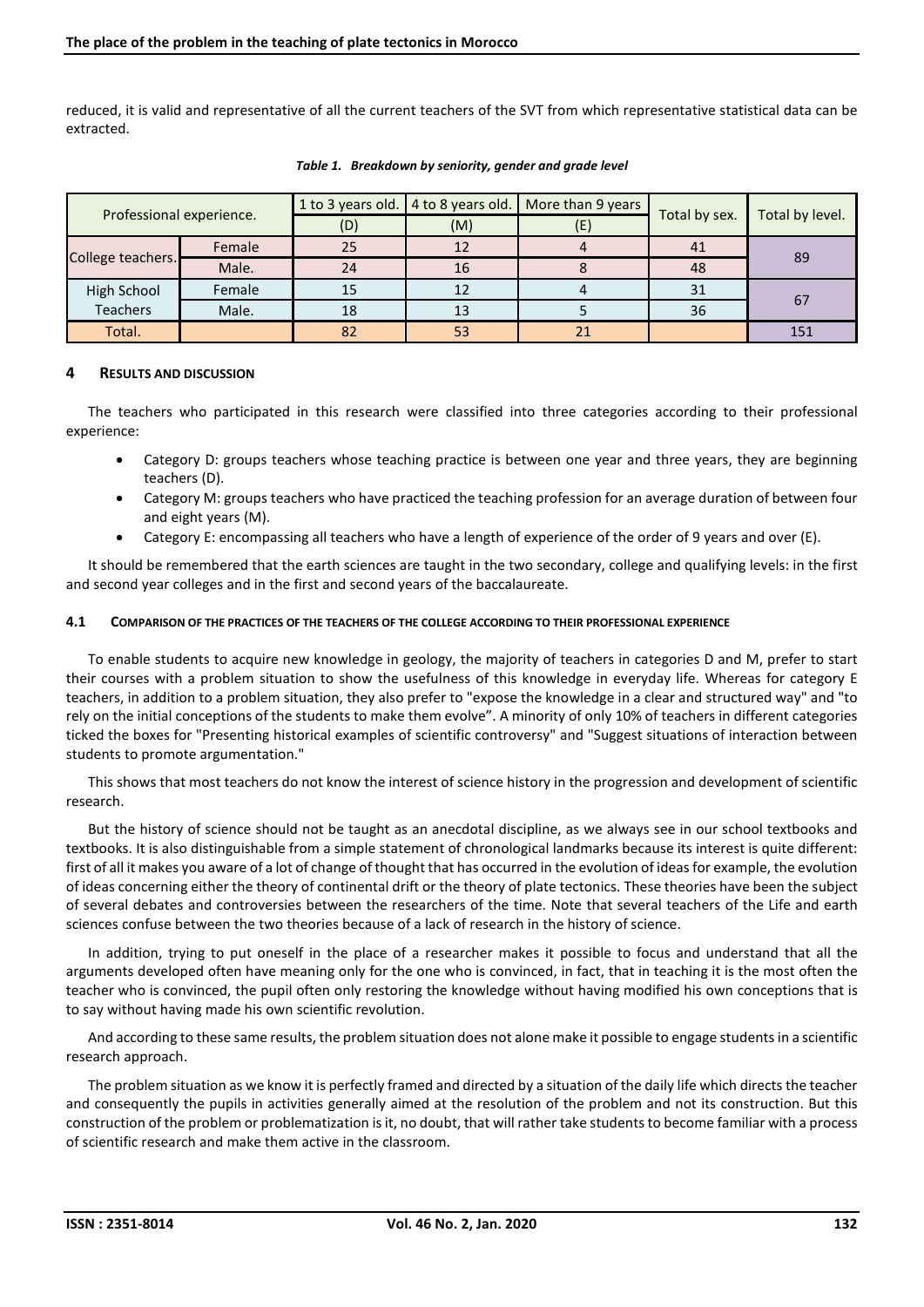reduced, it is valid and representative of all the current teachers of the SVT from which representative statistical data can be extracted.

| Professional experience. |        | 1 to 3 years old. | 4 to 8 years old. | More than 9 years | Total by sex. | Total by level. |
|--------------------------|--------|-------------------|-------------------|-------------------|---------------|-----------------|
|                          |        | (D)               | (M)               | (E)               |               |                 |
| College teachers.        | Female | 25                | 12                |                   | 41            | 89              |
|                          | Male.  | 24                | 16                |                   | 48            |                 |
| High School              | Female | 15                | 12                |                   | 31            |                 |
| <b>Teachers</b>          | Male.  | 18                | 13                |                   | 36            | 67              |
| Total.                   |        | 82                | 53                |                   |               | 151             |

*Table 1. Breakdown by seniority, gender and grade level* 

# **4 RESULTS AND DISCUSSION**

The teachers who participated in this research were classified into three categories according to their professional experience:

- Category D: groups teachers whose teaching practice is between one year and three years, they are beginning teachers (D).
- Category M: groups teachers who have practiced the teaching profession for an average duration of between four and eight years (M).
- Category E: encompassing all teachers who have a length of experience of the order of 9 years and over (E).

It should be remembered that the earth sciences are taught in the two secondary, college and qualifying levels: in the first and second year colleges and in the first and second years of the baccalaureate.

#### **4.1 COMPARISON OF THE PRACTICES OF THE TEACHERS OF THE COLLEGE ACCORDING TO THEIR PROFESSIONAL EXPERIENCE**

To enable students to acquire new knowledge in geology, the majority of teachers in categories D and M, prefer to start their courses with a problem situation to show the usefulness of this knowledge in everyday life. Whereas for category E teachers, in addition to a problem situation, they also prefer to "expose the knowledge in a clear and structured way" and "to rely on the initial conceptions of the students to make them evolve". A minority of only 10% of teachers in different categories ticked the boxes for "Presenting historical examples of scientific controversy" and "Suggest situations of interaction between students to promote argumentation."

This shows that most teachers do not know the interest of science history in the progression and development of scientific research.

But the history of science should not be taught as an anecdotal discipline, as we always see in our school textbooks and textbooks. It is also distinguishable from a simple statement of chronological landmarks because its interest is quite different: first of all it makes you aware of a lot of change of thought that has occurred in the evolution of ideas for example, the evolution of ideas concerning either the theory of continental drift or the theory of plate tectonics. These theories have been the subject of several debates and controversies between the researchers of the time. Note that several teachers of the Life and earth sciences confuse between the two theories because of a lack of research in the history of science.

In addition, trying to put oneself in the place of a researcher makes it possible to focus and understand that all the arguments developed often have meaning only for the one who is convinced, in fact, that in teaching it is the most often the teacher who is convinced, the pupil often only restoring the knowledge without having modified his own conceptions that is to say without having made his own scientific revolution.

And according to these same results, the problem situation does not alone make it possible to engage students in a scientific research approach.

The problem situation as we know it is perfectly framed and directed by a situation of the daily life which directs the teacher and consequently the pupils in activities generally aimed at the resolution of the problem and not its construction. But this construction of the problem or problematization is it, no doubt, that will rather take students to become familiar with a process of scientific research and make them active in the classroom.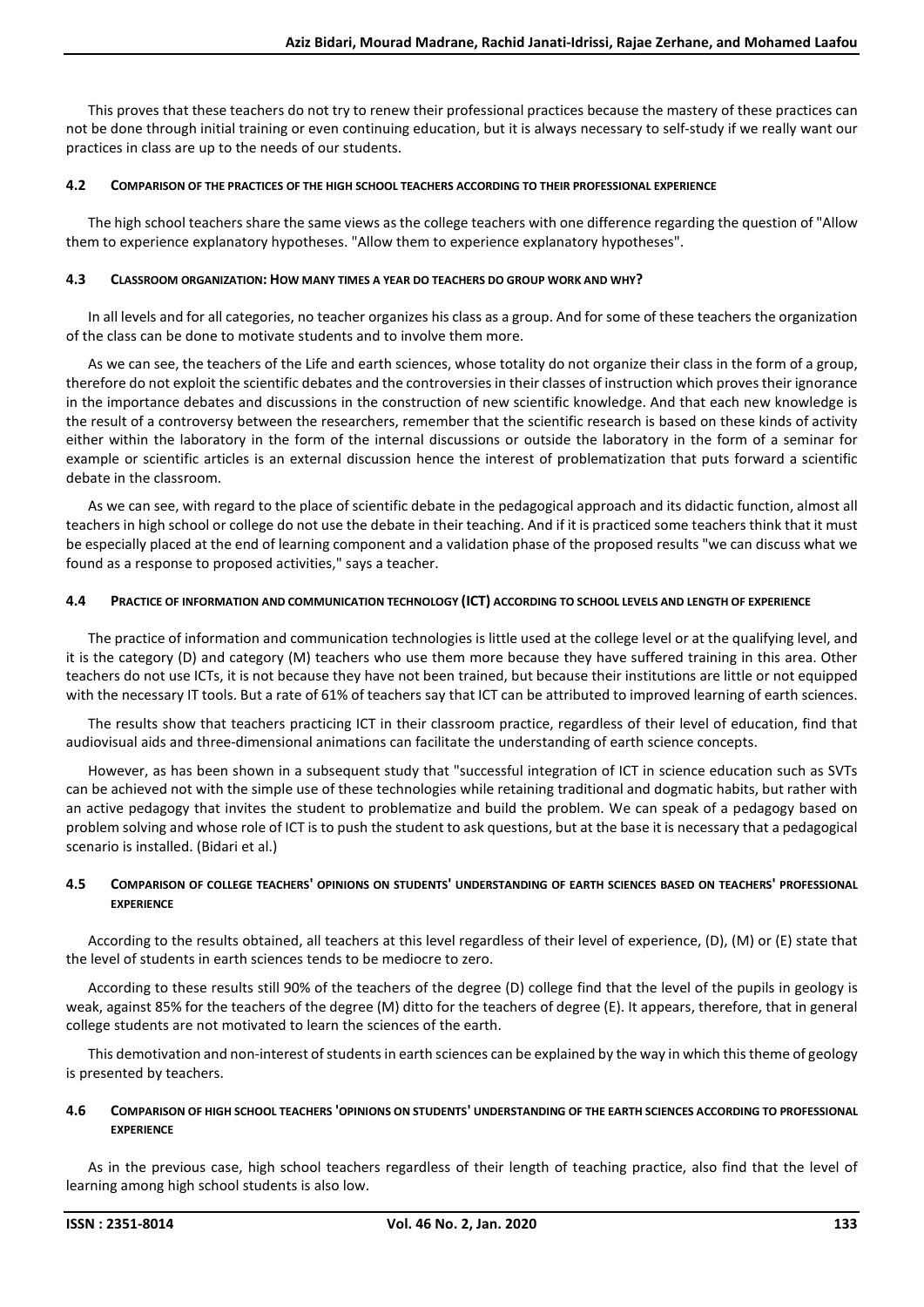This proves that these teachers do not try to renew their professional practices because the mastery of these practices can not be done through initial training or even continuing education, but it is always necessary to self-study if we really want our practices in class are up to the needs of our students.

### **4.2 COMPARISON OF THE PRACTICES OF THE HIGH SCHOOL TEACHERS ACCORDING TO THEIR PROFESSIONAL EXPERIENCE**

The high school teachers share the same views as the college teachers with one difference regarding the question of "Allow them to experience explanatory hypotheses. "Allow them to experience explanatory hypotheses".

## **4.3 CLASSROOM ORGANIZATION: HOW MANY TIMES A YEAR DO TEACHERS DO GROUP WORK AND WHY?**

In all levels and for all categories, no teacher organizes his class as a group. And for some of these teachers the organization of the class can be done to motivate students and to involve them more.

As we can see, the teachers of the Life and earth sciences, whose totality do not organize their class in the form of a group, therefore do not exploit the scientific debates and the controversies in their classes of instruction which proves their ignorance in the importance debates and discussions in the construction of new scientific knowledge. And that each new knowledge is the result of a controversy between the researchers, remember that the scientific research is based on these kinds of activity either within the laboratory in the form of the internal discussions or outside the laboratory in the form of a seminar for example or scientific articles is an external discussion hence the interest of problematization that puts forward a scientific debate in the classroom.

As we can see, with regard to the place of scientific debate in the pedagogical approach and its didactic function, almost all teachers in high school or college do not use the debate in their teaching. And if it is practiced some teachers think that it must be especially placed at the end of learning component and a validation phase of the proposed results "we can discuss what we found as a response to proposed activities," says a teacher.

## **4.4 PRACTICE OF INFORMATION AND COMMUNICATION TECHNOLOGY (ICT) ACCORDING TO SCHOOL LEVELS AND LENGTH OF EXPERIENCE**

The practice of information and communication technologies is little used at the college level or at the qualifying level, and it is the category (D) and category (M) teachers who use them more because they have suffered training in this area. Other teachers do not use ICTs, it is not because they have not been trained, but because their institutions are little or not equipped with the necessary IT tools. But a rate of 61% of teachers say that ICT can be attributed to improved learning of earth sciences.

The results show that teachers practicing ICT in their classroom practice, regardless of their level of education, find that audiovisual aids and three-dimensional animations can facilitate the understanding of earth science concepts.

However, as has been shown in a subsequent study that "successful integration of ICT in science education such as SVTs can be achieved not with the simple use of these technologies while retaining traditional and dogmatic habits, but rather with an active pedagogy that invites the student to problematize and build the problem. We can speak of a pedagogy based on problem solving and whose role of ICT is to push the student to ask questions, but at the base it is necessary that a pedagogical scenario is installed. (Bidari et al.)

## **4.5 COMPARISON OF COLLEGE TEACHERS' OPINIONS ON STUDENTS' UNDERSTANDING OF EARTH SCIENCES BASED ON TEACHERS' PROFESSIONAL EXPERIENCE**

According to the results obtained, all teachers at this level regardless of their level of experience, (D), (M) or (E) state that the level of students in earth sciences tends to be mediocre to zero.

According to these results still 90% of the teachers of the degree (D) college find that the level of the pupils in geology is weak, against 85% for the teachers of the degree (M) ditto for the teachers of degree (E). It appears, therefore, that in general college students are not motivated to learn the sciences of the earth.

This demotivation and non-interest of students in earth sciences can be explained by the way in which this theme of geology is presented by teachers.

# **4.6 COMPARISON OF HIGH SCHOOL TEACHERS 'OPINIONS ON STUDENTS' UNDERSTANDING OF THE EARTH SCIENCES ACCORDING TO PROFESSIONAL EXPERIENCE**

As in the previous case, high school teachers regardless of their length of teaching practice, also find that the level of learning among high school students is also low.